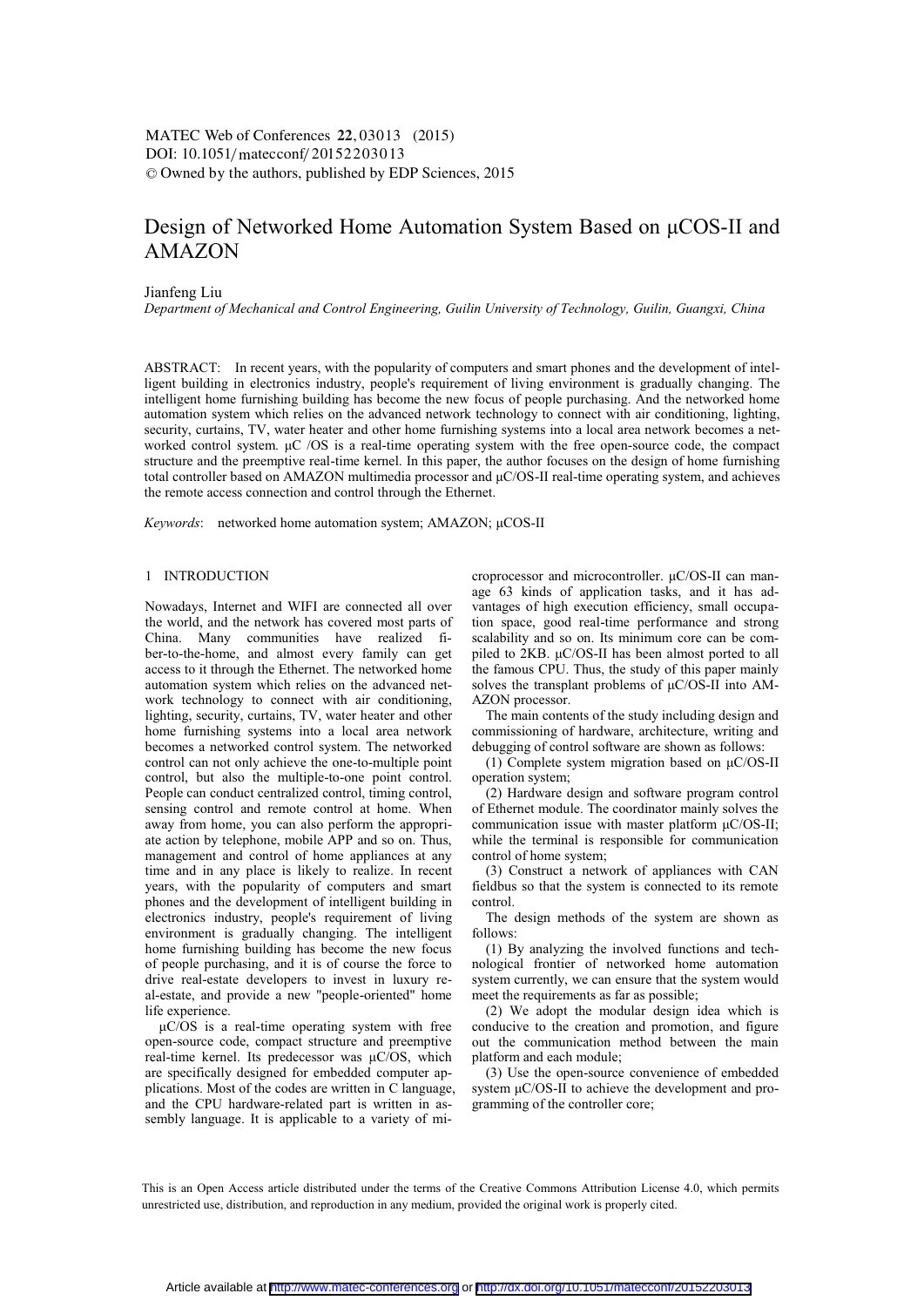$\overline{DOI}$ : 10.1051/matecconf/20152203013 -<sup>C</sup> Owned by the authors, published by EDP Sciences, 2015 MATEC Web of Conferences 22,03013 (2015)

# Design of Networked Home Automation System Based on μCOS-II and AMAZON

Jianfeng Liu

*Department of Mechanical and Control Engineering, Guilin University of Technology, Guilin, Guangxi, China* 

ABSTRACT: In recent years, with the popularity of computers and smart phones and the development of intelligent building in electronics industry, people's requirement of living environment is gradually changing. The intelligent home furnishing building has become the new focus of people purchasing. And the networked home automation system which relies on the advanced network technology to connect with air conditioning, lighting, security, curtains, TV, water heater and other home furnishing systems into a local area network becomes a networked control system. μC /OS is a real-time operating system with the free open-source code, the compact structure and the preemptive real-time kernel. In this paper, the author focuses on the design of home furnishing total controller based on AMAZON multimedia processor and μC/OS-II real-time operating system, and achieves the remote access connection and control through the Ethernet.

*Keywords*: networked home automation system; AMAZON; μCOS-II

## 1 INTRODUCTION

Nowadays, Internet and WIFI are connected all over the world, and the network has covered most parts of China. Many communities have realized fiber-to-the-home, and almost every family can get access to it through the Ethernet. The networked home automation system which relies on the advanced network technology to connect with air conditioning, lighting, security, curtains, TV, water heater and other home furnishing systems into a local area network becomes a networked control system. The networked control can not only achieve the one-to-multiple point control, but also the multiple-to-one point control. People can conduct centralized control, timing control, sensing control and remote control at home. When away from home, you can also perform the appropriate action by telephone, mobile APP and so on. Thus, management and control of home appliances at any time and in any place is likely to realize. In recent years, with the popularity of computers and smart phones and the development of intelligent building in electronics industry, people's requirement of living environment is gradually changing. The intelligent home furnishing building has become the new focus of people purchasing, and it is of course the force to drive real-estate developers to invest in luxury real-estate, and provide a new "people-oriented" home life experience.

 $\mu$ C/OS is a real-time operating system with free open-source code, compact structure and preemptive real-time kernel. Its predecessor was μC/OS, which are specifically designed for embedded computer applications. Most of the codes are written in C language, and the CPU hardware-related part is written in assembly language. It is applicable to a variety of microprocessor and microcontroller. μC/OS-II can manage 63 kinds of application tasks, and it has advantages of high execution efficiency, small occupation space, good real-time performance and strong scalability and so on. Its minimum core can be compiled to 2KB. μC/OS-II has been almost ported to all the famous CPU. Thus, the study of this paper mainly solves the transplant problems of μC/OS-II into AM-AZON processor.

The main contents of the study including design and commissioning of hardware, architecture, writing and debugging of control software are shown as follows:

(1) Complete system migration based on μC/OS-II operation system;

(2) Hardware design and software program control of Ethernet module. The coordinator mainly solves the communication issue with master platform μC/OS-II; while the terminal is responsible for communication control of home system;

(3) Construct a network of appliances with CAN fieldbus so that the system is connected to its remote control.

The design methods of the system are shown as follows:

(1) By analyzing the involved functions and technological frontier of networked home automation system currently, we can ensure that the system would meet the requirements as far as possible;

(2) We adopt the modular design idea which is conducive to the creation and promotion, and figure out the communication method between the main platform and each module;

(3) Use the open-source convenience of embedded system μC/OS-II to achieve the development and programming of the controller core;

This is an Open Access article distributed under the terms of the Creative Commons Attribution License 4.0, which permits unrestricted use, distribution, and reproduction in any medium, provided the original work is properly cited.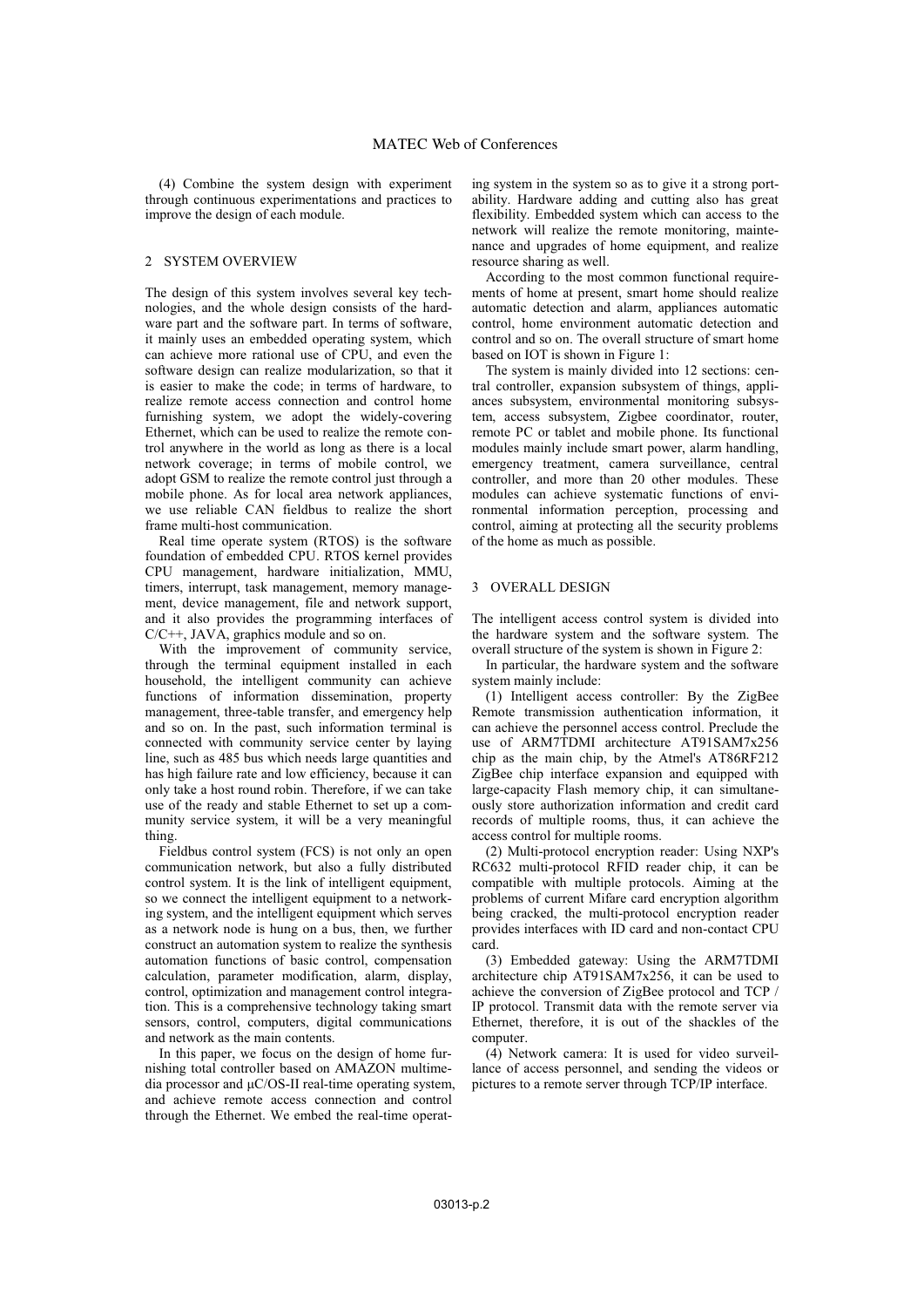(4) Combine the system design with experiment through continuous experimentations and practices to improve the design of each module.

# 2 SYSTEM OVERVIEW

The design of this system involves several key technologies, and the whole design consists of the hardware part and the software part. In terms of software, it mainly uses an embedded operating system, which can achieve more rational use of CPU, and even the software design can realize modularization, so that it is easier to make the code; in terms of hardware, to realize remote access connection and control home furnishing system, we adopt the widely-covering Ethernet, which can be used to realize the remote control anywhere in the world as long as there is a local network coverage; in terms of mobile control, we adopt GSM to realize the remote control just through a mobile phone. As for local area network appliances, we use reliable CAN fieldbus to realize the short frame multi-host communication.

Real time operate system (RTOS) is the software foundation of embedded CPU. RTOS kernel provides CPU management, hardware initialization, MMU, timers, interrupt, task management, memory management, device management, file and network support, and it also provides the programming interfaces of C/C++, JAVA, graphics module and so on.

With the improvement of community service, through the terminal equipment installed in each household, the intelligent community can achieve functions of information dissemination, property management, three-table transfer, and emergency help and so on. In the past, such information terminal is connected with community service center by laying line, such as 485 bus which needs large quantities and has high failure rate and low efficiency, because it can only take a host round robin. Therefore, if we can take use of the ready and stable Ethernet to set up a community service system, it will be a very meaningful thing.

Fieldbus control system (FCS) is not only an open communication network, but also a fully distributed control system. It is the link of intelligent equipment, so we connect the intelligent equipment to a networking system, and the intelligent equipment which serves as a network node is hung on a bus, then, we further construct an automation system to realize the synthesis automation functions of basic control, compensation calculation, parameter modification, alarm, display, control, optimization and management control integration. This is a comprehensive technology taking smart sensors, control, computers, digital communications and network as the main contents.

In this paper, we focus on the design of home furnishing total controller based on AMAZON multimedia processor and μC/OS-II real-time operating system, and achieve remote access connection and control through the Ethernet. We embed the real-time operating system in the system so as to give it a strong portability. Hardware adding and cutting also has great flexibility. Embedded system which can access to the network will realize the remote monitoring, maintenance and upgrades of home equipment, and realize resource sharing as well.

According to the most common functional requirements of home at present, smart home should realize automatic detection and alarm, appliances automatic control, home environment automatic detection and control and so on. The overall structure of smart home based on IOT is shown in Figure 1:

The system is mainly divided into 12 sections: central controller, expansion subsystem of things, appliances subsystem, environmental monitoring subsystem, access subsystem, Zigbee coordinator, router, remote PC or tablet and mobile phone. Its functional modules mainly include smart power, alarm handling, emergency treatment, camera surveillance, central controller, and more than 20 other modules. These modules can achieve systematic functions of environmental information perception, processing and control, aiming at protecting all the security problems of the home as much as possible.

# 3 OVERALL DESIGN

The intelligent access control system is divided into the hardware system and the software system. The overall structure of the system is shown in Figure 2:

In particular, the hardware system and the software system mainly include:

(1) Intelligent access controller: By the ZigBee Remote transmission authentication information, it can achieve the personnel access control. Preclude the use of ARM7TDMI architecture AT91SAM7x256 chip as the main chip, by the Atmel's AT86RF212 ZigBee chip interface expansion and equipped with large-capacity Flash memory chip, it can simultaneously store authorization information and credit card records of multiple rooms, thus, it can achieve the access control for multiple rooms.

(2) Multi-protocol encryption reader: Using NXP's RC632 multi-protocol RFID reader chip, it can be compatible with multiple protocols. Aiming at the problems of current Mifare card encryption algorithm being cracked, the multi-protocol encryption reader provides interfaces with ID card and non-contact CPU card.

(3) Embedded gateway: Using the ARM7TDMI architecture chip AT91SAM7x256, it can be used to achieve the conversion of ZigBee protocol and TCP / IP protocol. Transmit data with the remote server via Ethernet, therefore, it is out of the shackles of the computer.

(4) Network camera: It is used for video surveillance of access personnel, and sending the videos or pictures to a remote server through TCP/IP interface.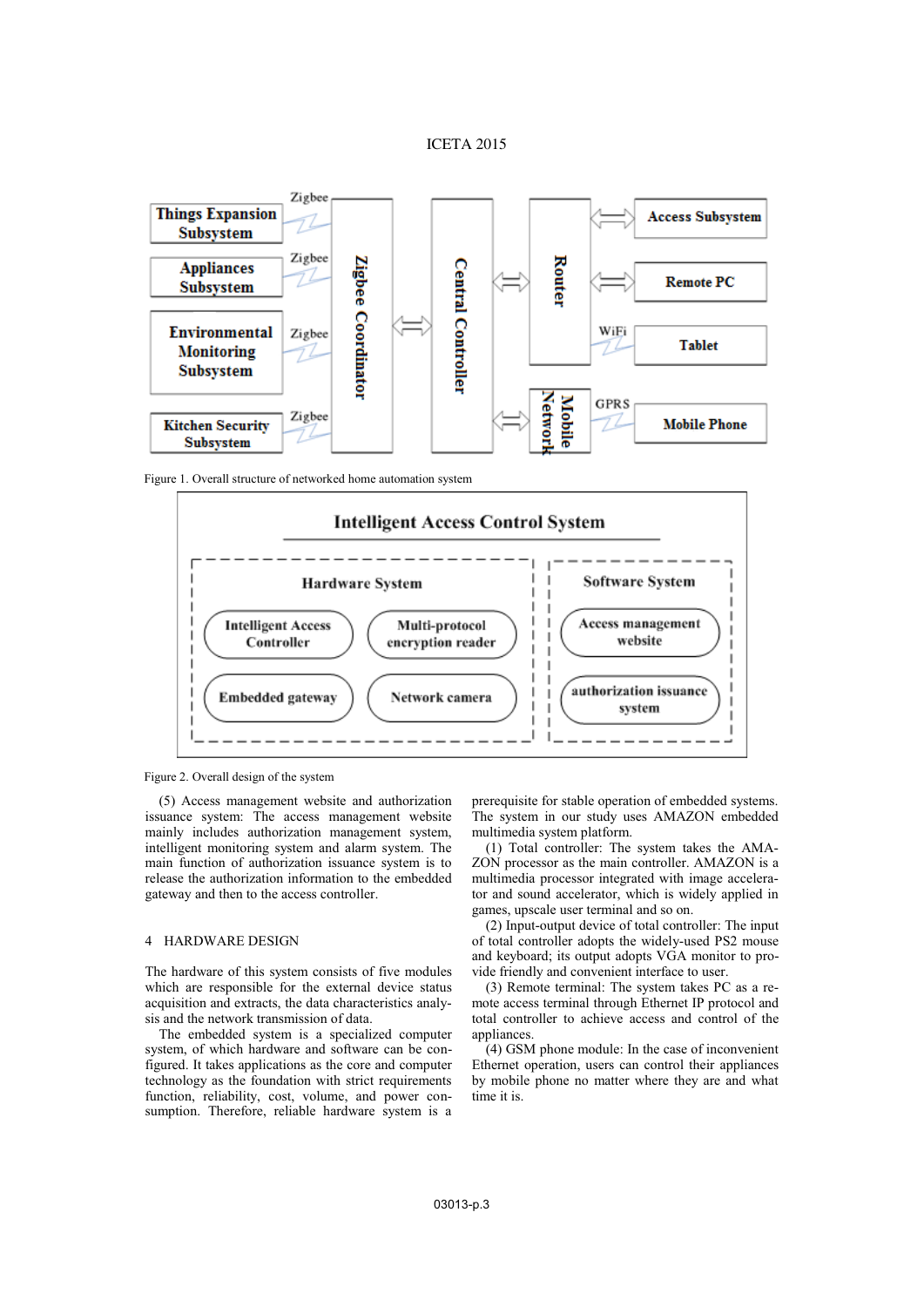# ICETA 2015



Figure 1. Overall structure of networked home automation system



Figure 2. Overall design of the system

(5) Access management website and authorization issuance system: The access management website mainly includes authorization management system, intelligent monitoring system and alarm system. The main function of authorization issuance system is to release the authorization information to the embedded gateway and then to the access controller.

## 4 HARDWARE DESIGN

The hardware of this system consists of five modules which are responsible for the external device status acquisition and extracts, the data characteristics analysis and the network transmission of data.

The embedded system is a specialized computer system, of which hardware and software can be configured. It takes applications as the core and computer technology as the foundation with strict requirements function, reliability, cost, volume, and power consumption. Therefore, reliable hardware system is a

prerequisite for stable operation of embedded systems. The system in our study uses AMAZON embedded multimedia system platform.

(1) Total controller: The system takes the AMA-ZON processor as the main controller. AMAZON is a multimedia processor integrated with image accelerator and sound accelerator, which is widely applied in games, upscale user terminal and so on.

(2) Input-output device of total controller: The input of total controller adopts the widely-used PS2 mouse and keyboard; its output adopts VGA monitor to provide friendly and convenient interface to user.

(3) Remote terminal: The system takes PC as a remote access terminal through Ethernet IP protocol and total controller to achieve access and control of the appliances.

(4) GSM phone module: In the case of inconvenient Ethernet operation, users can control their appliances by mobile phone no matter where they are and what time it is.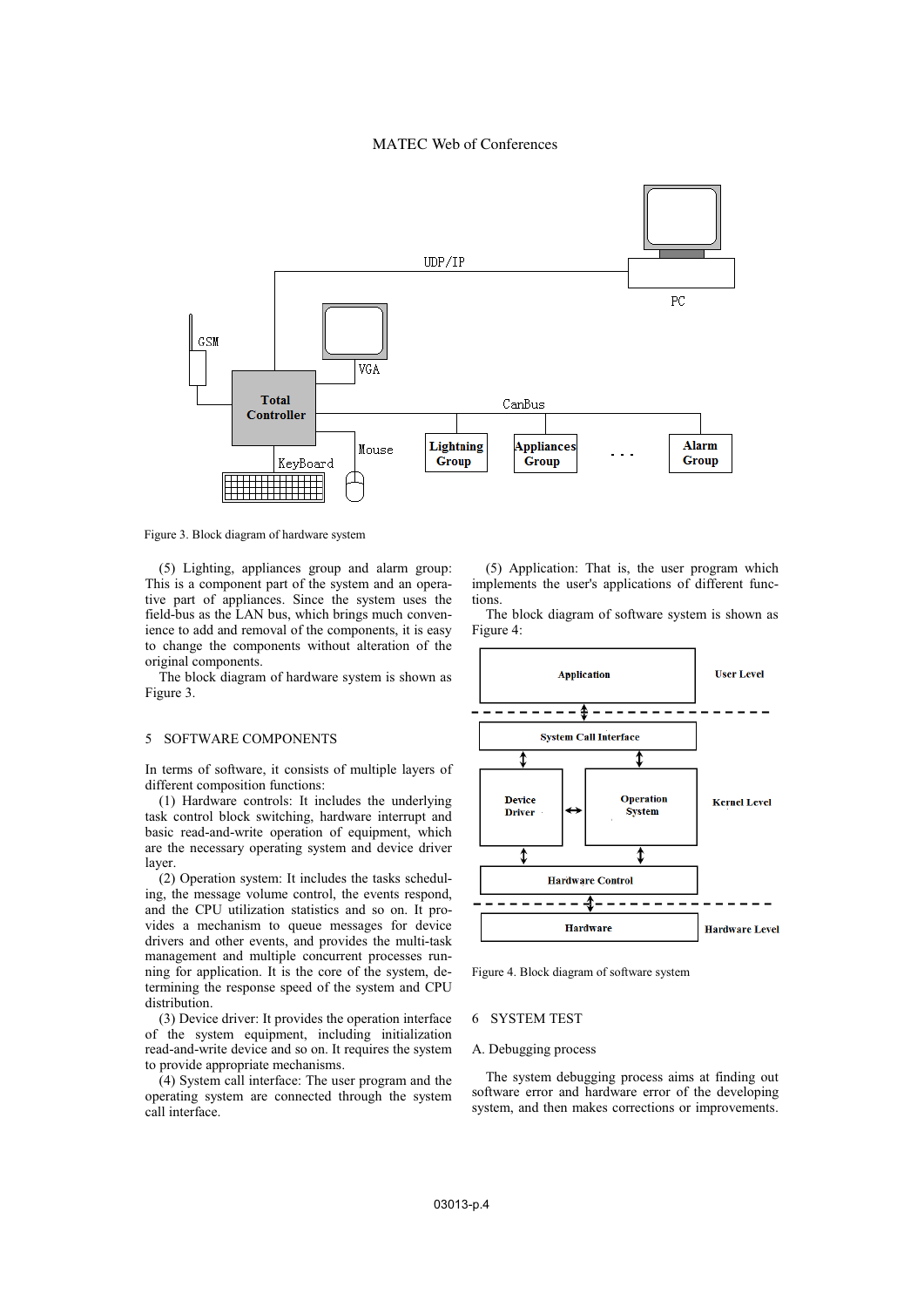# MATEC Web of Conferences



Figure 3. Block diagram of hardware system

(5) Lighting, appliances group and alarm group: This is a component part of the system and an operative part of appliances. Since the system uses the field-bus as the LAN bus, which brings much convenience to add and removal of the components, it is easy to change the components without alteration of the original components.

The block diagram of hardware system is shown as Figure 3.

#### 5 SOFTWARE COMPONENTS

In terms of software, it consists of multiple layers of different composition functions:

(1) Hardware controls: It includes the underlying task control block switching, hardware interrupt and basic read-and-write operation of equipment, which are the necessary operating system and device driver layer.

(2) Operation system: It includes the tasks scheduling, the message volume control, the events respond, and the CPU utilization statistics and so on. It provides a mechanism to queue messages for device drivers and other events, and provides the multi-task management and multiple concurrent processes running for application. It is the core of the system, determining the response speed of the system and CPU distribution.

(3) Device driver: It provides the operation interface of the system equipment, including initialization read-and-write device and so on. It requires the system to provide appropriate mechanisms.

(4) System call interface: The user program and the operating system are connected through the system call interface.

(5) Application: That is, the user program which implements the user's applications of different functions.

The block diagram of software system is shown as Figure 4:



Figure 4. Block diagram of software system

#### 6 SYSTEM TEST

#### A. Debugging process

The system debugging process aims at finding out software error and hardware error of the developing system, and then makes corrections or improvements.